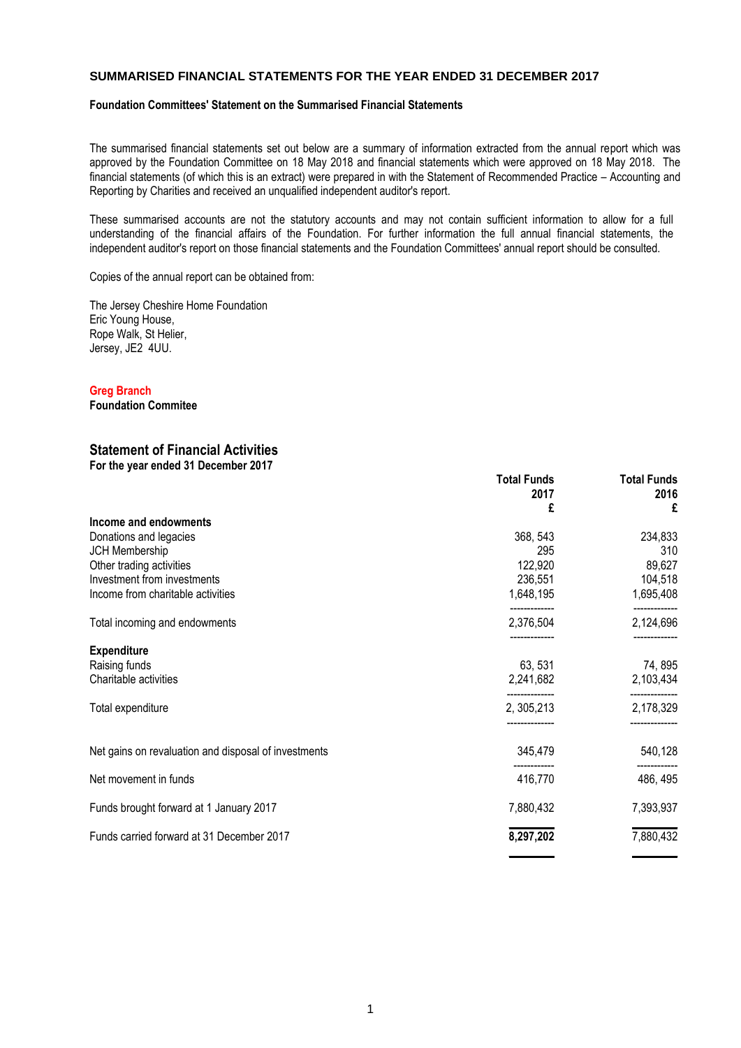### **SUMMARISED FINANCIAL STATEMENTS FOR THE YEAR ENDED 31 DECEMBER 2017**

## **Foundation Committees' Statement on the Summarised Financial Statements**

The summarised financial statements set out below are a summary of information extracted from the annual report which was approved by the Foundation Committee on 18 May 2018 and financial statements which were approved on 18 May 2018. The financial statements (of which this is an extract) were prepared in with the Statement of Recommended Practice – Accounting and Reporting by Charities and received an unqualified independent auditor's report.

These summarised accounts are not the statutory accounts and may not contain sufficient information to allow for a full understanding of the financial affairs of the Foundation. For further information the full annual financial statements, the independent auditor's report on those financial statements and the Foundation Committees' annual report should be consulted.

Copies of the annual report can be obtained from:

The Jersey Cheshire Home Foundation Eric Young House, Rope Walk, St Helier, Jersey, JE2 4UU.

#### **Greg Branch**

**Foundation Commitee**

# **Statement of Financial Activities**

| Statement Of Financial Activities<br>For the year ended 31 December 2017 |                                 |                                 |
|--------------------------------------------------------------------------|---------------------------------|---------------------------------|
|                                                                          | <b>Total Funds</b><br>2017<br>£ | <b>Total Funds</b><br>2016<br>£ |
| Income and endowments                                                    |                                 |                                 |
| Donations and legacies                                                   | 368, 543                        | 234,833                         |
| <b>JCH Membership</b>                                                    | 295                             | 310                             |
| Other trading activities                                                 | 122,920                         | 89,627                          |
| Investment from investments                                              | 236,551                         | 104,518                         |
| Income from charitable activities                                        | 1,648,195                       | 1,695,408                       |
| Total incoming and endowments                                            | 2,376,504                       | 2,124,696                       |
| <b>Expenditure</b>                                                       |                                 |                                 |
| Raising funds                                                            | 63, 531                         | 74, 895                         |
| Charitable activities                                                    | 2,241,682                       | 2,103,434                       |
| Total expenditure                                                        | 2, 305, 213                     | 2,178,329                       |
| Net gains on revaluation and disposal of investments                     | 345,479                         | 540,128                         |
| Net movement in funds                                                    | 416,770                         | 486, 495                        |
| Funds brought forward at 1 January 2017                                  | 7,880,432                       | 7,393,937                       |

**\_\_\_\_\_\_\_\_ \_\_\_\_\_\_\_\_**

**\_\_\_\_\_\_\_\_ \_\_\_\_\_\_\_\_**

Funds carried forward at 31 December 2017 **8,297,202 8,297,202 8,297,202**